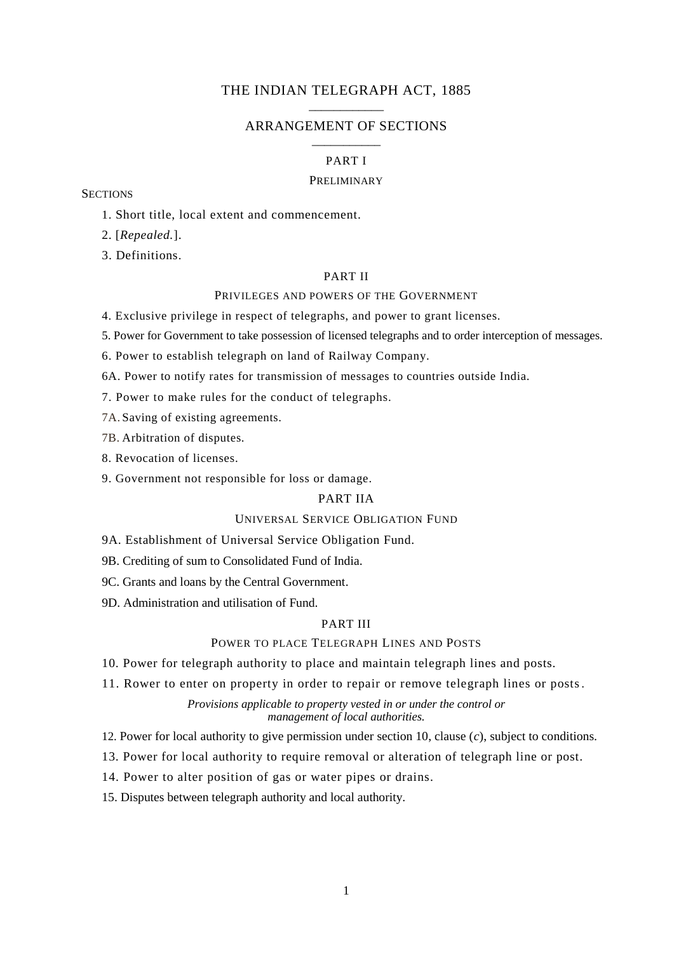## THE INDIAN TELEGRAPH ACT, 1885 \_\_\_\_\_\_\_\_\_\_\_\_

## ARRANGEMENT OF SECTIONS \_\_\_\_\_\_\_\_\_\_\_

## PART I

## PRELIMINARY

## **SECTIONS**

1. Short title, local extent and commencement.

2. [*Repealed.*].

3. Definitions.

### PART II

## PRIVILEGES AND POWERS OF THE GOVERNMENT

- 4. Exclusive privilege in respect of telegraphs, and power to grant licenses.
- 5. Power for Government to take possession of licensed telegraphs and to order interception of messages.

6. Power to establish telegraph on land of Railway Company.

- 6A. Power to notify rates for transmission of messages to countries outside India.
- 7. Power to make rules for the conduct of telegraphs.

7A. Saving of existing agreements.

7B. Arbitration of disputes.

- 8. Revocation of licenses.
- 9. Government not responsible for loss or damage.

# PART IIA

## UNIVERSAL SERVICE OBLIGATION FUND

9A. Establishment of Universal Service Obligation Fund.

- 9B. Crediting of sum to Consolidated Fund of India.
- 9C. Grants and loans by the Central Government.
- 9D. Administration and utilisation of Fund.

# PART III

# POWER TO PLACE TELEGRAPH LINES AND POSTS

10. Power for telegraph authority to place and maintain telegraph lines and posts.

11. Rower to enter on property in order to repair or remove telegraph lines or posts.

*Provisions applicable to property vested in or under the control or management of local authorities.*

12. Power for local authority to give permission under section 10, clause (*c*), subject to conditions.

- 13. Power for local authority to require removal or alteration of telegraph line or post.
- 14. Power to alter position of gas or water pipes or drains.
- 15. Disputes between telegraph authority and local authority.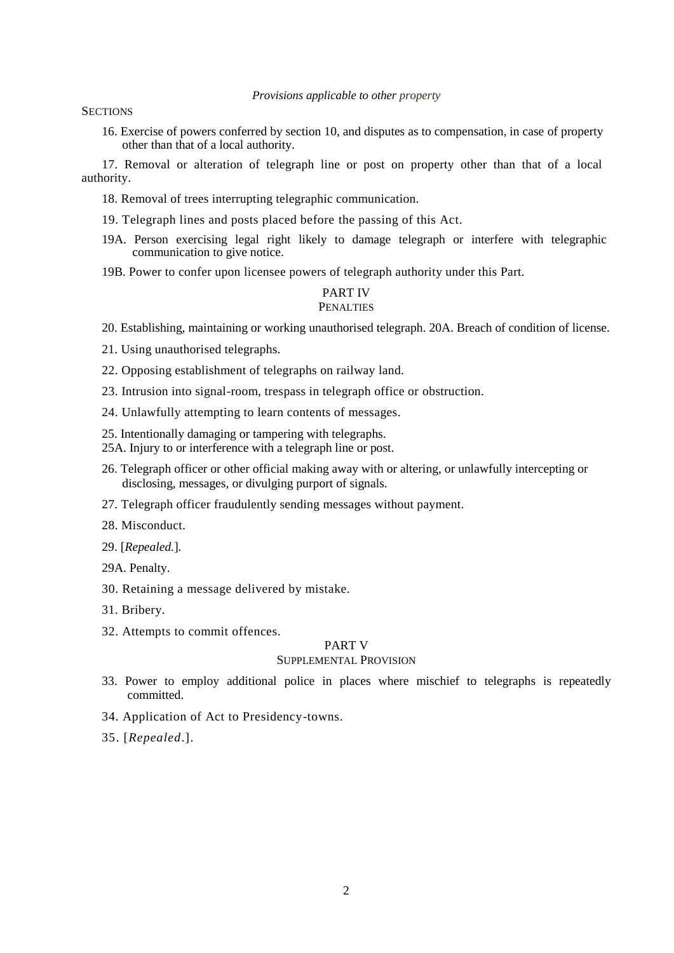### *Provisions applicable to other property*

**SECTIONS** 

16. Exercise of powers conferred by section 10, and disputes as to compensation, in case of property other than that of a local authority.

17. Removal or alteration of telegraph line or post on property other than that of a local authority.

- 18. Removal of trees interrupting telegraphic communication.
- 19. Telegraph lines and posts placed before the passing of this Act.
- 19A. Person exercising legal right likely to damage telegraph or interfere with telegraphic communication to give notice.
- 19B. Power to confer upon licensee powers of telegraph authority under this Part.

### PART IV **PENALTIES**

20. Establishing, maintaining or working unauthorised telegraph. 20A. Breach of condition of license.

- 21. Using unauthorised telegraphs.
- 22. Opposing establishment of telegraphs on railway land.
- 23. Intrusion into signal-room, trespass in telegraph office or obstruction.
- 24. Unlawfully attempting to learn contents of messages.
- 25. Intentionally damaging or tampering with telegraphs.
- 25A. Injury to or interference with a telegraph line or post.
- 26. Telegraph officer or other official making away with or altering, or unlawfully intercepting or disclosing, messages, or divulging purport of signals.
- 27. Telegraph officer fraudulently sending messages without payment.
- 28. Misconduct.
- 29. [*Repealed.*]*.*
- 29A. Penalty.
- 30. Retaining a message delivered by mistake.
- 31. Bribery.
- 32. Attempts to commit offences.

#### PART V

### SUPPLEMENTAL PROVISION

- 33. Power to employ additional police in places where mischief to telegraphs is repeatedly committed.
- 34. Application of Act to Presidency-towns.
- 35. [*Repealed*.].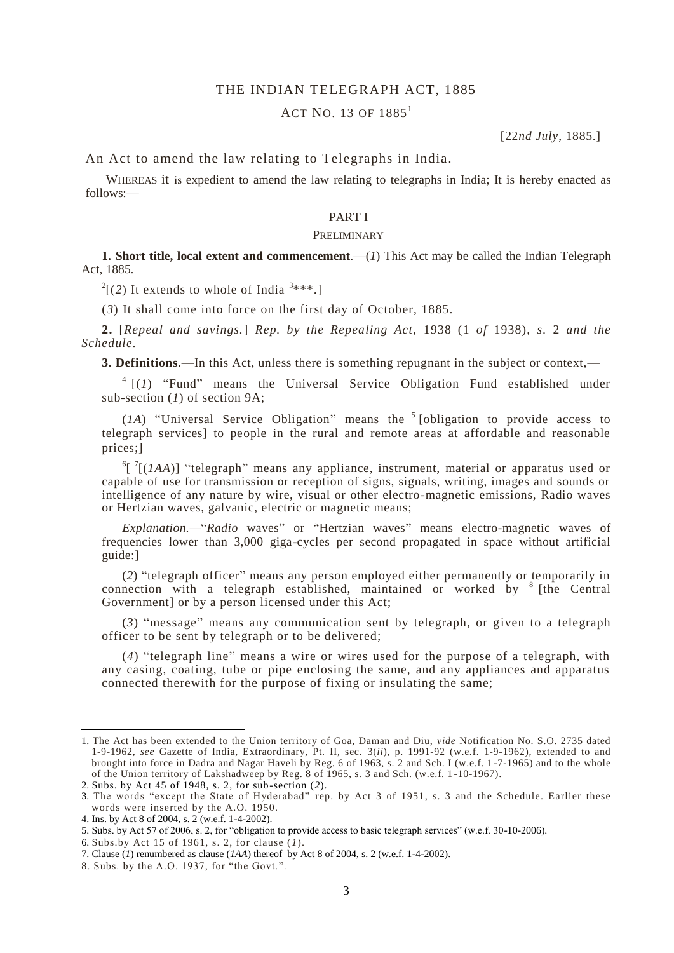## THE INDIAN TELEGRAPH ACT, 1885

# $ACT NO. 13 OF 1885<sup>1</sup>$

[22*nd July*, 1885.]

An Act to amend the law relating to Telegraphs in India.

WHEREAS it is expedient to amend the law relating to telegraphs in India; It is hereby enacted as follows:—

### PART I

### PRELIMINARY

**1. Short title, local extent and commencement.** (*1*) This Act may be called the Indian Telegraph Act, 1885.

 $2[(2)$  It extends to whole of India<sup>3\*\*\*</sup>.]

(*3*) It shall come into force on the first day of October, 1885.

**2.** [*Repeal and savings.*] *Rep. by the Repealing Act,* 1938 (1 *of* 1938), *s.* 2 *and the Schedule.*

**3. Definitions**.—In this Act, unless there is something repugnant in the subject or context,—

 $4$   $[(1)$  "Fund" means the Universal Service Obligation Fund established under sub-section (*1*) of section 9A;

 $(1A)$  "Universal Service Obligation" means the <sup>5</sup> [obligation to provide access to telegraph services] to people in the rural and remote areas at affordable and reasonable prices;]

 ${}^6$ [ $'$ [(*IAA*)] "telegraph" means any appliance, instrument, material or apparatus used or capable of use for transmission or reception of signs, signals, writing, images and sounds or intelligence of any nature by wire, visual or other electro-magnetic emissions, Radio waves or Hertzian waves, galvanic, electric or magnetic means;

*Explanation.—*"*Radio* waves" or "Hertzian waves" means electro-magnetic waves of frequencies lower than 3,000 giga-cycles per second propagated in space without artificial guide:]

(*2*) "telegraph officer" means any person employed either permanently or temporarily in connection with a telegraph established, maintained or worked by <sup>8</sup> [the Central Government] or by a person licensed under this Act;

(*3*) "message" means any communication sent by telegraph, or given to a telegraph officer to be sent by telegraph or to be delivered;

(*4*) "telegraph line" means a wire or wires used for the purpose of a telegraph, with any casing, coating, tube or pipe enclosing the same, and any appliances and apparatus connected therewith for the purpose of fixing or insulating the same;

1

6. Subs.by Act 15 of 1961, s. 2, for clause (*1*).

<sup>1.</sup> The Act has been extended to the Union territory of Goa, Daman and Diu, *vide* Notification No. S.O. 2735 dated 1-9-1962, *see* Gazette of India, Extraordinary, Pt. II, sec. 3(*ii*), p. 1991-92 (w.e.f. 1-9-1962), extended to and brought into force in Dadra and Nagar Haveli by Reg. 6 of 1963, s. 2 and Sch. I (w.e.f. 1 -7-1965) and to the whole of the Union territory of Lakshadweep by Reg. 8 of 1965, s. 3 and Sch. (w.e.f. 1 -10-1967).

<sup>2.</sup> Subs. by Act 45 of 1948, s. 2, for sub-section (*2*).

<sup>3.</sup> The words "except the State of Hyderabad" rep. by Act 3 of 1951, s. 3 and the Schedule. Earlier these words were inserted by the A.O. 1950.

<sup>4.</sup> Ins. by Act 8 of 2004, s. 2 (w.e.f. 1-4-2002).

<sup>5.</sup> Subs. by Act 57 of 2006, s. 2, for "obligation to provide access to basic telegraph services" (w.e.f. 30-10-2006).

<sup>7.</sup> Clause (*1*) renumbered as clause (*1AA*) thereof by Act 8 of 2004, s. 2 (w.e.f. 1-4-2002).

<sup>8.</sup> Subs. by the A.O. 1937, for "the Govt.".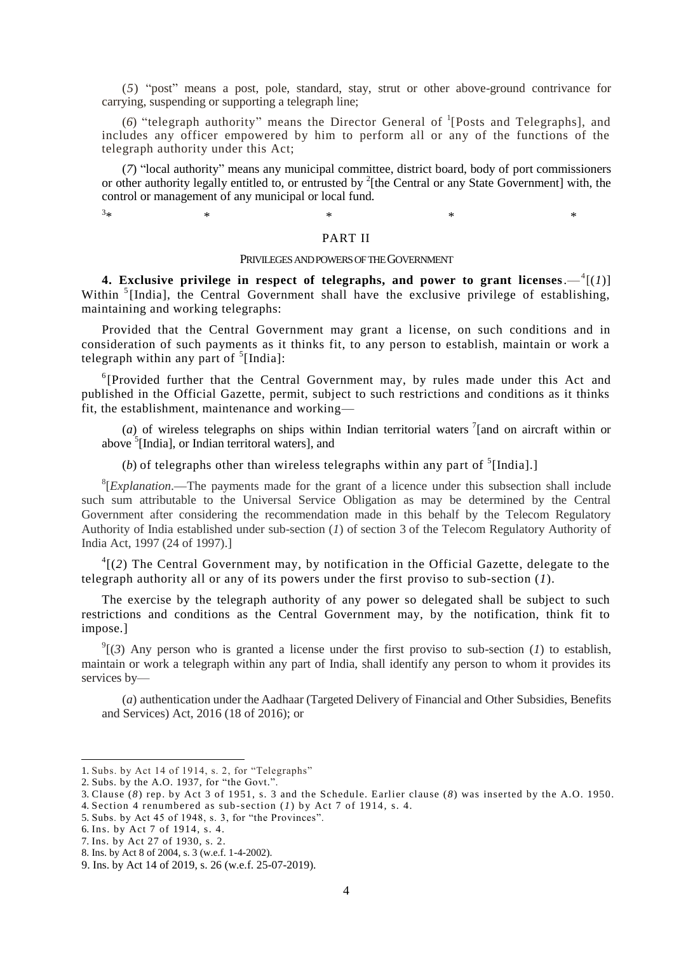(*5*) "post" means a post, pole, standard, stay, strut or other above-ground contrivance for carrying, suspending or supporting a telegraph line;

(6) "telegraph authority" means the Director General of <sup>1</sup>[Posts and Telegraphs], and includes any officer empowered by him to perform all or any of the functions of the telegraph authority under this Act;

(*7*) "local authority" means any municipal committee, district board, body of port commissioners or other authority legally entitled to, or entrusted by <sup>2</sup>[the Central or any State Government] with, the control or management of any municipal or local fund.

 $*$   $*$   $*$   $*$   $*$   $*$   $*$ 

### PART II

### PRIVILEGES AND POWERS OF THE GOVERNMENT

4. Exclusive privilege in respect of telegraphs, and power to grant licenses. $-$ <sup>4</sup>[(*1*)] Within<sup>5</sup>[India], the Central Government shall have the exclusive privilege of establishing, maintaining and working telegraphs:

Provided that the Central Government may grant a license, on such conditions and in consideration of such payments as it thinks fit, to any person to establish, maintain or work a telegraph within any part of  $5$ [India]:

<sup>6</sup>[Provided further that the Central Government may, by rules made under this Act and published in the Official Gazette, permit, subject to such restrictions and conditions as it thinks fit, the establishment, maintenance and working—

(*a*) of wireless telegraphs on ships within Indian territorial waters  $\frac{1}{2}$  [and on aircraft within or above <sup>5</sup>[India], or Indian territoral waters], and

(b) of telegraphs other than wireless telegraphs within any part of  $<sup>5</sup>[India].$ </sup>

<sup>8</sup>[*Explanation*.—The payments made for the grant of a licence under this subsection shall include such sum attributable to the Universal Service Obligation as may be determined by the Central Government after considering the recommendation made in this behalf by the Telecom Regulatory Authority of India established under sub-section (*1*) of section 3 of the Telecom Regulatory Authority of India Act, 1997 (24 of 1997).]

 ${}^{4}$ [(2) The Central Government may, by notification in the Official Gazette, delegate to the telegraph authority all or any of its powers under the first proviso to sub-section (*1*).

The exercise by the telegraph authority of any power so delegated shall be subject to such restrictions and conditions as the Central Government may, by the notification, think fit to impose.]

 $\mathcal{O}^9$ [(3) Any person who is granted a license under the first proviso to sub-section (*1*) to establish, maintain or work a telegraph within any part of India, shall identify any person to whom it provides its services by—

(*a*) authentication under the Aadhaar (Targeted Delivery of Financial and Other Subsidies, Benefits and Services) Act, 2016 (18 of 2016); or

1

 $3<sub>+</sub>$ 

<sup>1.</sup> Subs. by Act 14 of 1914, s. 2, for "Telegraphs"

<sup>2.</sup> Subs. by the A.O. 1937, for "the Govt.".

<sup>3.</sup> Clause (*8*) rep. by Act 3 of 1951, s. 3 and the Schedule. Earlier clause (*8*) was inserted by the A.O. 1950.

<sup>4.</sup> Section 4 renumbered as sub-section (*1*) by Act 7 of 1914, s. 4.

<sup>5.</sup> Subs. by Act 45 of 1948, s. 3, for "the Provinces".

<sup>6.</sup> Ins. by Act 7 of 1914, s. 4.

<sup>7.</sup> Ins. by Act 27 of 1930, s. 2.

<sup>8.</sup> Ins. by Act 8 of 2004, s. 3 (w.e.f. 1-4-2002).

<sup>9.</sup> Ins. by Act 14 of 2019, s. 26 (w.e.f. 25-07-2019).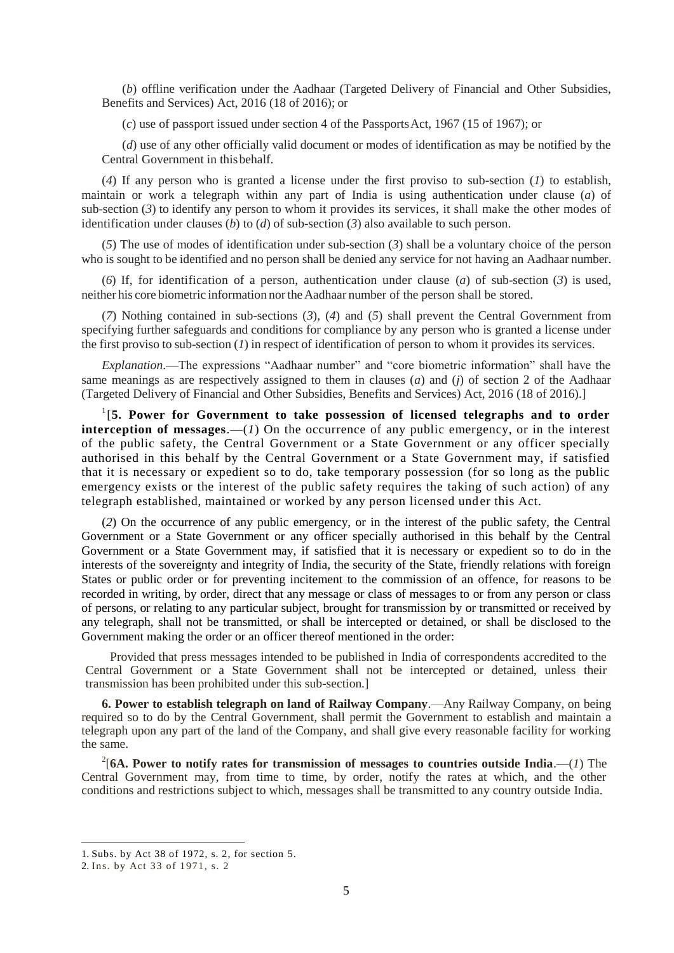(*b*) offline verification under the Aadhaar (Targeted Delivery of Financial and Other Subsidies, Benefits and Services) Act, 2016 (18 of 2016); or

(*c*) use of passport issued under section 4 of the PassportsAct, 1967 (15 of 1967); or

(*d*) use of any other officially valid document or modes of identification as may be notified by the Central Government in thisbehalf.

(*4*) If any person who is granted a license under the first proviso to sub-section (*1*) to establish, maintain or work a telegraph within any part of India is using authentication under clause (*a*) of sub-section (*3*) to identify any person to whom it provides its services, it shall make the other modes of identification under clauses (*b*) to (*d*) of sub-section (*3*) also available to such person.

(*5*) The use of modes of identification under sub-section (*3*) shall be a voluntary choice of the person who is sought to be identified and no person shall be denied any service for not having an Aadhaar number.

(*6*) If, for identification of a person, authentication under clause (*a*) of sub-section (*3*) is used, neither his core biometric information northeAadhaar number of the person shall be stored.

(*7*) Nothing contained in sub-sections (*3*), (*4*) and (*5*) shall prevent the Central Government from specifying further safeguards and conditions for compliance by any person who is granted a license under the first proviso to sub-section (*1*) in respect of identification of person to whom it provides its services.

*Explanation*.—The expressions "Aadhaar number" and "core biometric information" shall have the same meanings as are respectively assigned to them in clauses (*a*) and (*j*) of section 2 of the Aadhaar (Targeted Delivery of Financial and Other Subsidies, Benefits and Services) Act, 2016 (18 of 2016).]

<sup>1</sup>[5. Power for Government to take possession of licensed telegraphs and to order **interception of messages**.—(*1*) On the occurrence of any public emergency, or in the interest of the public safety, the Central Government or a State Government or any officer specially authorised in this behalf by the Central Government or a State Government may, if satisfied that it is necessary or expedient so to do, take temporary possession (for so long as the public emergency exists or the interest of the public safety requires the taking of such action) of any telegraph established, maintained or worked by any person licensed und er this Act.

(*2*) On the occurrence of any public emergency, or in the interest of the public safety, the Central Government or a State Government or any officer specially authorised in this behalf by the Central Government or a State Government may, if satisfied that it is necessary or expedient so to do in the interests of the sovereignty and integrity of India, the security of the State, friendly relations with foreign States or public order or for preventing incitement to the commission of an offence, for reasons to be recorded in writing, by order, direct that any message or class of messages to or from any person or class of persons, or relating to any particular subject, brought for transmission by or transmitted or received by any telegraph, shall not be transmitted, or shall be intercepted or detained, or shall be disclosed to the Government making the order or an officer thereof mentioned in the order:

Provided that press messages intended to be published in India of correspondents accredited to the Central Government or a State Government shall not be intercepted or detained, unless their transmission has been prohibited under this sub-section.]

**6. Power to establish telegraph on land of Railway Company**.—Any Railway Company, on being required so to do by the Central Government, shall permit the Government to establish and maintain a telegraph upon any part of the land of the Company, and shall give every reasonable facility for working the same.

 $^{2}[6A.$  Power to notify rates for transmission of messages to countries outside India.—(1) The Central Government may, from time to time, by order, notify the rates at which, and the other conditions and restrictions subject to which, messages shall be transmitted to any country outside India.

<sup>1.</sup> Subs. by Act 38 of 1972, s. 2, for section 5.

<sup>2.</sup> Ins. by Act 33 of 1971, s. 2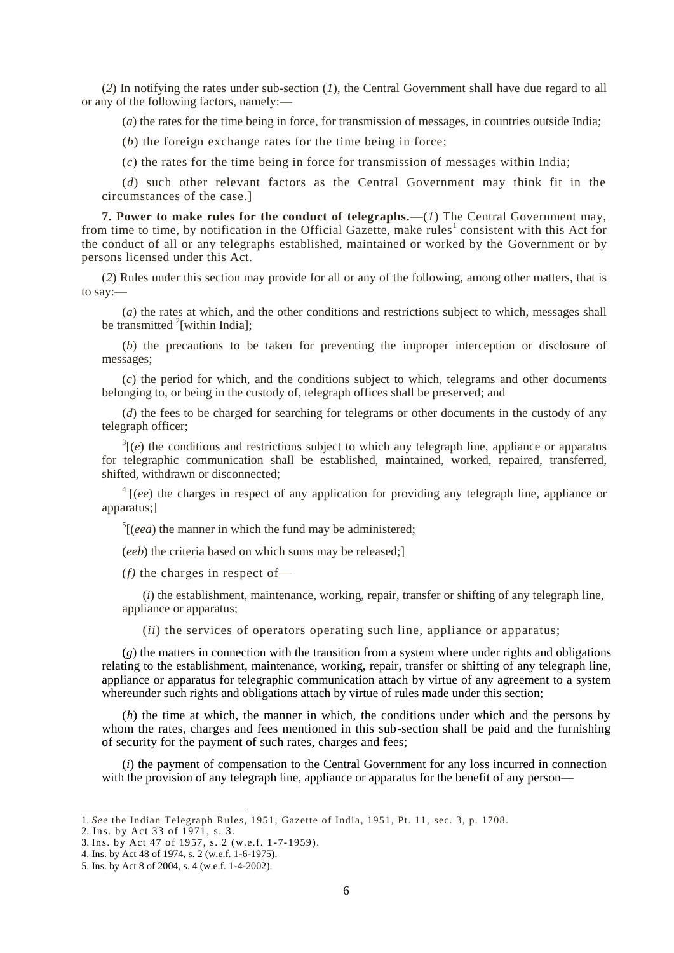(*2*) In notifying the rates under sub-section (*1*), the Central Government shall have due regard to all or any of the following factors, namely:—

(*a*) the rates for the time being in force, for transmission of messages, in countries outside India;

(*b*) the foreign exchange rates for the time being in force;

(*c*) the rates for the time being in force for transmission of messages within India;

(*d*) such other relevant factors as the Central Government may think fit in the circumstances of the case.]

**7. Power to make rules for the conduct of telegraphs.**—(*1*) The Central Government may, from time to time, by notification in the Official Gazette, make rules<sup>1</sup> consistent with this Act for the conduct of all or any telegraphs established, maintained or worked by the Government or by persons licensed under this Act.

(*2*) Rules under this section may provide for all or any of the following, among other matters, that is to say:—

(*a*) the rates at which, and the other conditions and restrictions subject to which, messages shall be transmitted  $2$ [within India];

(*b*) the precautions to be taken for preventing the improper interception or disclosure of messages;

(*c*) the period for which, and the conditions subject to which, telegrams and other documents belonging to, or being in the custody of, telegraph offices shall be preserved; and

(*d*) the fees to be charged for searching for telegrams or other documents in the custody of any telegraph officer;

 $3(e)$  the conditions and restrictions subject to which any telegraph line, appliance or apparatus for telegraphic communication shall be established, maintained, worked, repaired, transferred, shifted, withdrawn or disconnected;

<sup>4</sup> [(*ee*) the charges in respect of any application for providing any telegraph line, appliance or apparatus;]

 $<sup>5</sup>$ [(*eea*) the manner in which the fund may be administered;</sup>

(*eeb*) the criteria based on which sums may be released;]

(*f)* the charges in respect of—

(*i*) the establishment, maintenance, working, repair, transfer or shifting of any telegraph line, appliance or apparatus;

(*ii*) the services of operators operating such line, appliance or apparatus;

(*g*) the matters in connection with the transition from a system where under rights and obligations relating to the establishment, maintenance, working, repair, transfer or shifting of any telegraph line, appliance or apparatus for telegraphic communication attach by virtue of any agreement to a system whereunder such rights and obligations attach by virtue of rules made under this section;

(*h*) the time at which, the manner in which, the conditions under which and the persons by whom the rates, charges and fees mentioned in this sub-section shall be paid and the furnishing of security for the payment of such rates, charges and fees;

(*i*) the payment of compensation to the Central Government for any loss incurred in connection with the provision of any telegraph line, appliance or apparatus for the benefit of any person—

2. Ins. by Act 33 of 1971, s. 3.

<sup>1.</sup> *See* the Indian Telegraph Rules, 1951, Gazette of India, 1951, Pt. 11, sec. 3, p. 1708.

<sup>3.</sup> Ins. by Act 47 of 1957, s. 2 (w.e.f. 1 -7-1959).

<sup>4.</sup> Ins. by Act 48 of 1974, s. 2 (w.e.f. 1-6-1975).

<sup>5.</sup> Ins. by Act 8 of 2004, s. 4 (w.e.f. 1-4-2002).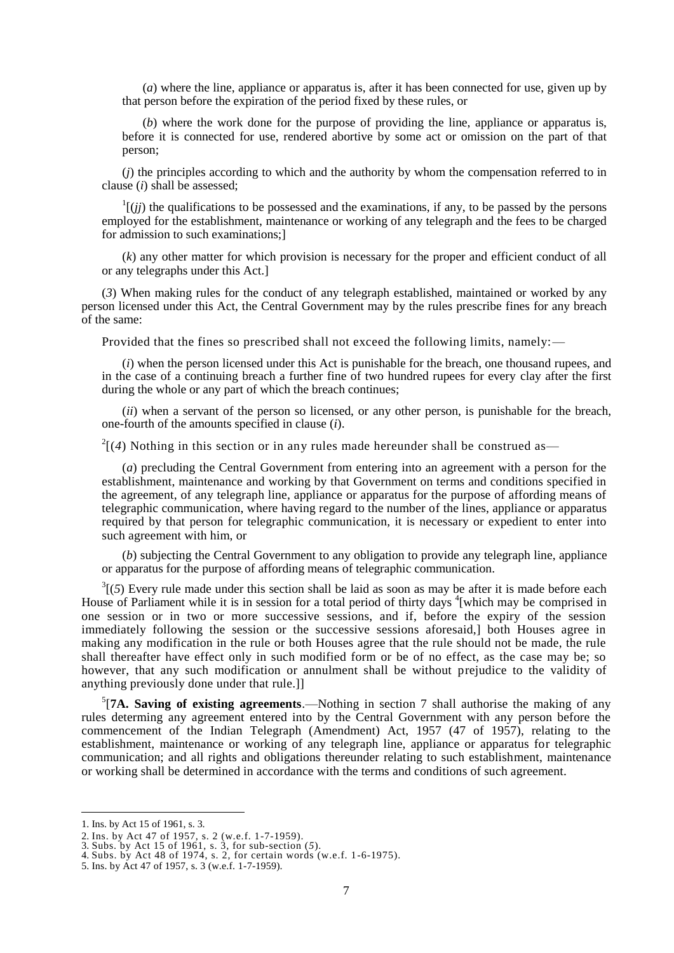(*a*) where the line, appliance or apparatus is, after it has been connected for use, given up by that person before the expiration of the period fixed by these rules, or

(*b*) where the work done for the purpose of providing the line, appliance or apparatus is, before it is connected for use, rendered abortive by some act or omission on the part of that person;

(*j*) the principles according to which and the authority by whom the compensation referred to in clause (*i*) shall be assessed;

 $\frac{1}{j}$  (*ij*) the qualifications to be possessed and the examinations, if any, to be passed by the persons employed for the establishment, maintenance or working of any telegraph and the fees to be charged for admission to such examinations;]

(*k*) any other matter for which provision is necessary for the proper and efficient conduct of all or any telegraphs under this Act.]

(*3*) When making rules for the conduct of any telegraph established, maintained or worked by any person licensed under this Act, the Central Government may by the rules prescribe fines for any breach of the same:

Provided that the fines so prescribed shall not exceed the following limits, namely:—

(*i*) when the person licensed under this Act is punishable for the breach, one thousand rupees, and in the case of a continuing breach a further fine of two hundred rupees for every clay after the first during the whole or any part of which the breach continues;

(*ii*) when a servant of the person so licensed, or any other person, is punishable for the breach, one-fourth of the amounts specified in clause (*i*).

 $2[(4)$  Nothing in this section or in any rules made hereunder shall be construed as—

(*a*) precluding the Central Government from entering into an agreement with a person for the establishment, maintenance and working by that Government on terms and conditions specified in the agreement, of any telegraph line, appliance or apparatus for the purpose of affording means of telegraphic communication, where having regard to the number of the lines, appliance or apparatus required by that person for telegraphic communication, it is necessary or expedient to enter into such agreement with him, or

(*b*) subjecting the Central Government to any obligation to provide any telegraph line, appliance or apparatus for the purpose of affording means of telegraphic communication.

 $3(5)$  Every rule made under this section shall be laid as soon as may be after it is made before each House of Parliament while it is in session for a total period of thirty days <sup>4</sup>[which may be comprised in one session or in two or more successive sessions, and if, before the expiry of the session immediately following the session or the successive sessions aforesaid,] both Houses agree in making any modification in the rule or both Houses agree that the rule should not be made, the rule shall thereafter have effect only in such modified form or be of no effect, as the case may be; so however, that any such modification or annulment shall be without prejudice to the validity of anything previously done under that rule.]]

 $5$ <sup>[7</sup>A. Saving of existing agreements.—Nothing in section 7 shall authorise the making of any rules determing any agreement entered into by the Central Government with any person before the commencement of the Indian Telegraph (Amendment) Act, 1957 (47 of 1957), relating to the establishment, maintenance or working of any telegraph line, appliance or apparatus for telegraphic communication; and all rights and obligations thereunder relating to such establishment, maintenance or working shall be determined in accordance with the terms and conditions of such agreement.

<sup>1.</sup> Ins. by Act 15 of 1961, s. 3.

<sup>2.</sup> Ins. by Act 47 of 1957, s. 2 (w.e.f. 1-7-1959).

<sup>3.</sup> Subs. by Act 15 of 1961, s. 3, for sub-section (*5*).

<sup>4.</sup> Subs. by Act 48 of 1974, s. 2, for certain words (w.e.f. 1-6-1975).

<sup>5.</sup> Ins. by Act 47 of 1957, s. 3 (w.e.f. 1-7-1959).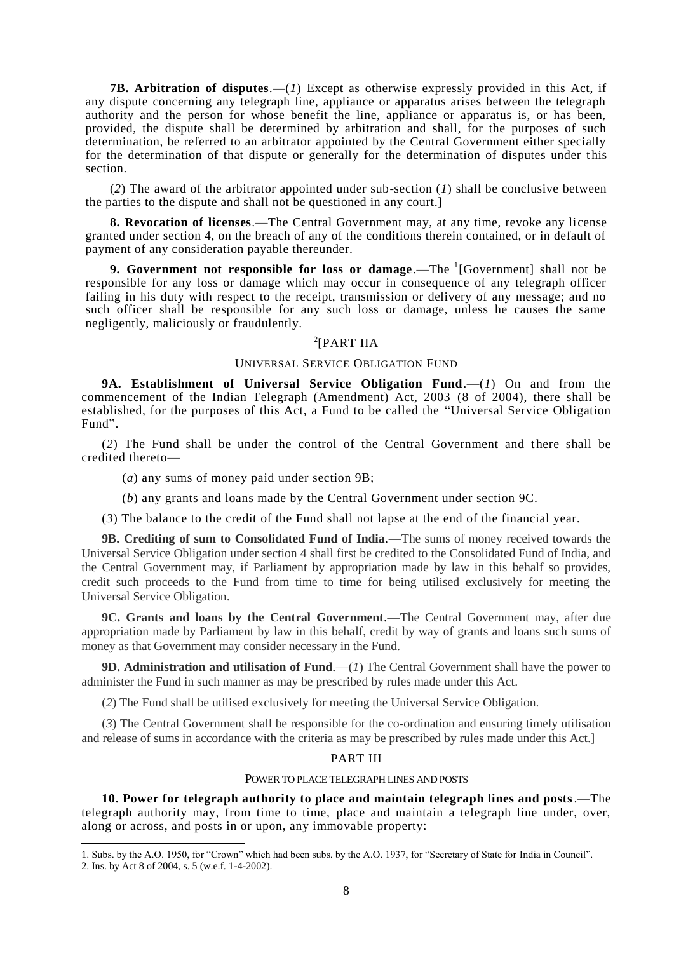**7B. Arbitration of disputes**.—(*1*) Except as otherwise expressly provided in this Act, if any dispute concerning any telegraph line, appliance or apparatus arises between the telegraph authority and the person for whose benefit the line, appliance or apparatus is, or has been, provided, the dispute shall be determined by arbitration and shall, for the purposes of such determination, be referred to an arbitrator appointed by the Central Government either specially for the determination of that dispute or generally for the determination of disputes under this section.

(*2*) The award of the arbitrator appointed under sub-section (*1*) shall be conclusive between the parties to the dispute and shall not be questioned in any court.]

**8. Revocation of licenses**.—The Central Government may, at any time, revoke any license granted under section 4, on the breach of any of the conditions therein contained, or in default of payment of any consideration payable thereunder.

**9. Government not responsible for loss or damage.**—The <sup>1</sup>[Government] shall not be responsible for any loss or damage which may occur in consequence of any telegraph officer failing in his duty with respect to the receipt, transmission or delivery of any message; and no such officer shall be responsible for any such loss or damage, unless he causes the same negligently, maliciously or fraudulently.

# $2$ [PART IIA

### UNIVERSAL SERVICE OBLIGATION FUND

**9A. Establishment of Universal Service Obligation Fund**.—(*1*) On and from the commencement of the Indian Telegraph (Amendment) Act, 2003 (8 of 2004), there shall be established, for the purposes of this Act, a Fund to be called the "Universal Service Obligation Fund".

(*2*) The Fund shall be under the control of the Central Government and t here shall be credited thereto—

(*a*) any sums of money paid under section 9B;

1

(*b*) any grants and loans made by the Central Government under section 9C.

(*3*) The balance to the credit of the Fund shall not lapse at the end of the financial year.

**9B. Crediting of sum to Consolidated Fund of India**.—The sums of money received towards the Universal Service Obligation under section 4 shall first be credited to the Consolidated Fund of India, and the Central Government may, if Parliament by appropriation made by law in this behalf so provides, credit such proceeds to the Fund from time to time for being utilised exclusively for meeting the Universal Service Obligation.

**9C. Grants and loans by the Central Government**.—The Central Government may, after due appropriation made by Parliament by law in this behalf, credit by way of grants and loans such sums of money as that Government may consider necessary in the Fund.

**9D. Administration and utilisation of Fund.**—(*1*) The Central Government shall have the power to administer the Fund in such manner as may be prescribed by rules made under this Act.

(*2*) The Fund shall be utilised exclusively for meeting the Universal Service Obligation.

(*3*) The Central Government shall be responsible for the co-ordination and ensuring timely utilisation and release of sums in accordance with the criteria as may be prescribed by rules made under this Act.]

## PART III

### POWER TO PLACE TELEGRAPH LINES AND POSTS

**10. Power for telegraph authority to place and maintain telegraph lines and posts**.—The telegraph authority may, from time to time, place and maintain a telegraph line under, over, along or across, and posts in or upon, any immovable property:

<sup>1.</sup> Subs. by the A.O. 1950, for "Crown" which had been subs. by the A.O. 1937, for "Secretary of State for India in Council". 2. Ins. by Act 8 of 2004, s. 5 (w.e.f. 1-4-2002).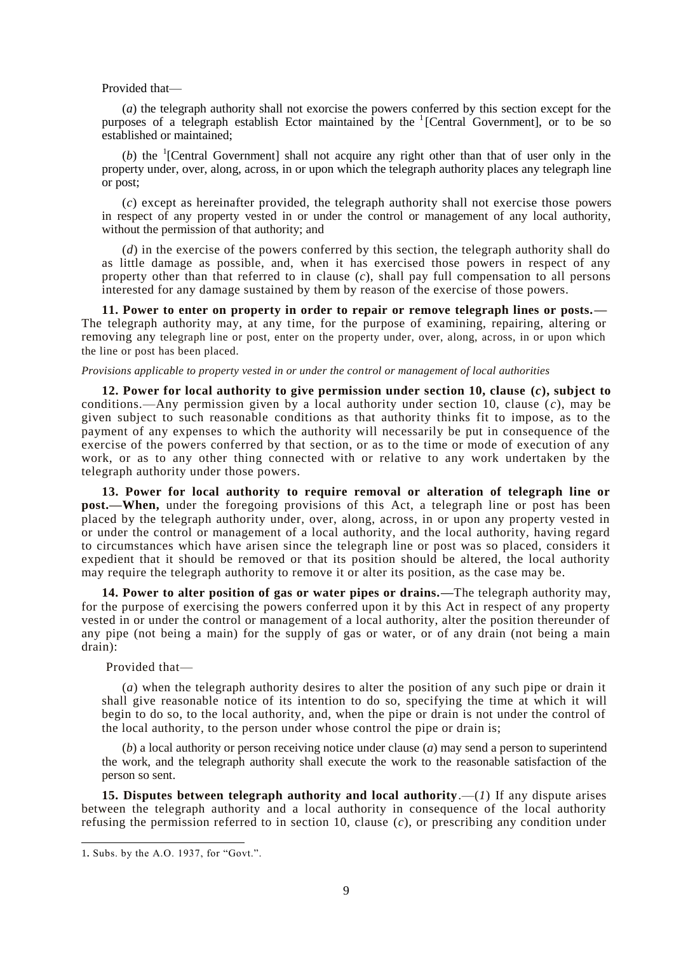Provided that—

(*a*) the telegraph authority shall not exorcise the powers conferred by this section except for the purposes of a telegraph establish Ector maintained by the <sup>1</sup>[Central Government], or to be so established or maintained;

(b) the  $\frac{1}{2}$  [Central Government] shall not acquire any right other than that of user only in the property under, over, along, across, in or upon which the telegraph authority places any telegraph line or post;

(*c*) except as hereinafter provided, the telegraph authority shall not exercise those powers in respect of any property vested in or under the control or management of any local authority, without the permission of that authority; and

(*d*) in the exercise of the powers conferred by this section, the telegraph authority shall do as little damage as possible, and, when it has exercised those powers in respect of any property other than that referred to in clause (*c*), shall pay full compensation to all persons interested for any damage sustained by them by reason of the exercise of those powers.

**11. Power to enter on property in order to repair or remove telegraph lines or posts.—** The telegraph authority may, at any time, for the purpose of examining, repairing, altering or removing any telegraph line or post, enter on the property under, over, along, across, in or upon which the line or post has been placed.

#### *Provisions applicable to property vested in or under the control or management of local authorities*

**12. Power for local authority to give permission under section 10, clause (***c***), subject to**  conditions.—Any permission given by a local authority under section 10, clause  $(c)$ , may be given subject to such reasonable conditions as that authority thinks fit to impose, as to the payment of any expenses to which the authority will necessarily be put in consequence of the exercise of the powers conferred by that section, or as to the time or mode of execution of any work, or as to any other thing connected with or relative to any work undertaken by the telegraph authority under those powers.

**13. Power for local authority to require removal or alteration of telegraph line or post.—When,** under the foregoing provisions of this Act, a telegraph line or post has been placed by the telegraph authority under, over, along, across, in or upon any property vested in or under the control or management of a local authority, and the local authority, having regard to circumstances which have arisen since the telegraph line or post was so placed, considers it expedient that it should be removed or that its position should be altered, the local authority may require the telegraph authority to remove it or alter its position, as the case may be.

**14. Power to alter position of gas or water pipes or drains.—**The telegraph authority may, for the purpose of exercising the powers conferred upon it by this Act in respect of any property vested in or under the control or management of a local authority, alter the position thereunder of any pipe (not being a main) for the supply of gas or water, or of any drain (not being a main drain):

### Provided that—

(*a*) when the telegraph authority desires to alter the position of any such pipe or drain it shall give reasonable notice of its intention to do so, specifying the time at which it will begin to do so, to the local authority, and, when the pipe or drain is not under the control of the local authority, to the person under whose control the pipe or drain is;

(*b*) a local authority or person receiving notice under clause (*a*) may send a person to superintend the work, and the telegraph authority shall execute the work to the reasonable satisfaction of the person so sent.

**15. Disputes between telegraph authority and local authority**.—(*1*) If any dispute arises between the telegraph authority and a local authority in consequence of the local authority refusing the permission referred to in section 10, clause (*c*), or prescribing any condition under

<sup>1</sup>. Subs. by the A.O. 1937, for "Govt.".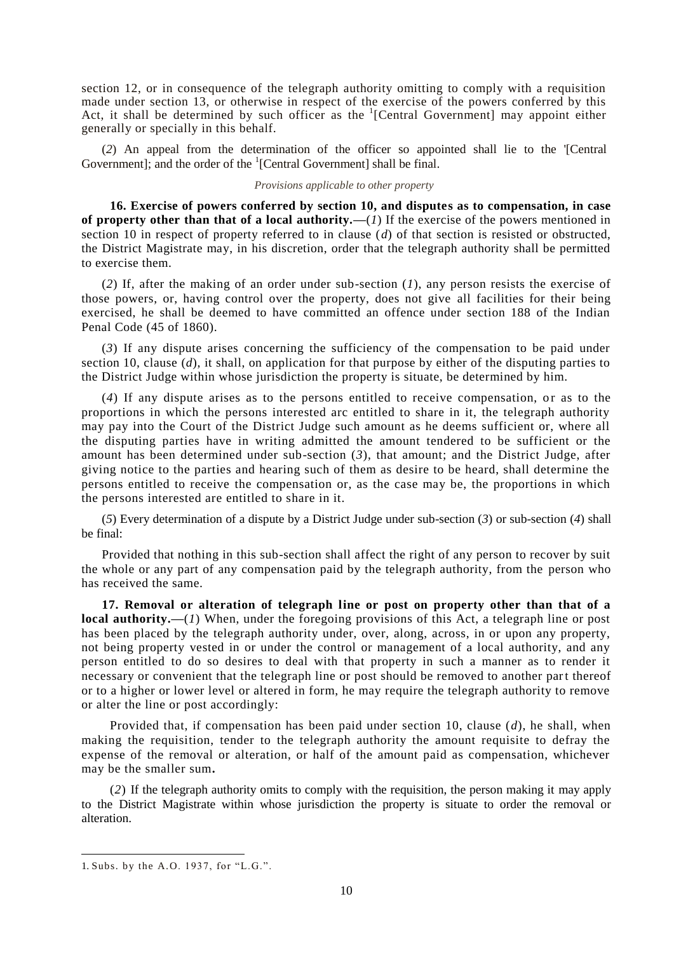section 12, or in consequence of the telegraph authority omitting to comply with a requisition made under section 13, or otherwise in respect of the exercise of the powers conferred by this Act, it shall be determined by such officer as the  ${}^{1}$ [Central Government] may appoint either generally or specially in this behalf.

(*2*) An appeal from the determination of the officer so appointed shall lie to the '[Central Government]; and the order of the  ${}^{1}$ [Central Government] shall be final.

### *Provisions applicable to other property*

**16. Exercise of powers conferred by section 10, and disputes as to compensation, in case of property other than that of a local authority.—**(*1*) If the exercise of the powers mentioned in section 10 in respect of property referred to in clause (*d*) of that section is resisted or obstructed, the District Magistrate may, in his discretion, order that the telegraph authority shall be permitted to exercise them.

(*2*) If, after the making of an order under sub-section (*1*), any person resists the exercise of those powers, or, having control over the property, does not give all facilities for their being exercised, he shall be deemed to have committed an offence under section 188 of the Indian Penal Code (45 of 1860).

(*3*) If any dispute arises concerning the sufficiency of the compensation to be paid under section 10, clause (*d*), it shall, on application for that purpose by either of the disputing parties to the District Judge within whose jurisdiction the property is situate, be determined by him.

(4) If any dispute arises as to the persons entitled to receive compensation, or as to the proportions in which the persons interested arc entitled to share in it, the telegraph authority may pay into the Court of the District Judge such amount as he deems sufficient or, where all the disputing parties have in writing admitted the amount tendered to be sufficient or the amount has been determined under sub-section (*3*), that amount; and the District Judge, after giving notice to the parties and hearing such of them as desire to be heard, shall determine the persons entitled to receive the compensation or, as the case may be, the proportions in which the persons interested are entitled to share in it.

(*5*) Every determination of a dispute by a District Judge under sub-section (*3*) or sub-section (*4*) shall be final:

Provided that nothing in this sub-section shall affect the right of any person to recover by suit the whole or any part of any compensation paid by the telegraph authority, from the person who has received the same.

**17. Removal or alteration of telegraph line or post on property other than that of a local authority.—**(*1*) When, under the foregoing provisions of this Act, a telegraph line or post has been placed by the telegraph authority under, over, along, across, in or upon any property, not being property vested in or under the control or management of a local authority, and any person entitled to do so desires to deal with that property in such a manner as to render it necessary or convenient that the telegraph line or post should be removed to another part thereof or to a higher or lower level or altered in form, he may require the telegraph authority to remove or alter the line or post accordingly:

Provided that, if compensation has been paid under section 10, clause (*d*), he shall, when making the requisition, tender to the telegraph authority the amount requisite to defray the expense of the removal or alteration, or half of the amount paid as compensation, whichever may be the smaller sum**.**

(*2*) If the telegraph authority omits to comply with the requisition, the person making it may apply to the District Magistrate within whose jurisdiction the property is situate to order the removal or alteration.

<sup>1.</sup> Subs. by the A.O. 1937, for "L.G.".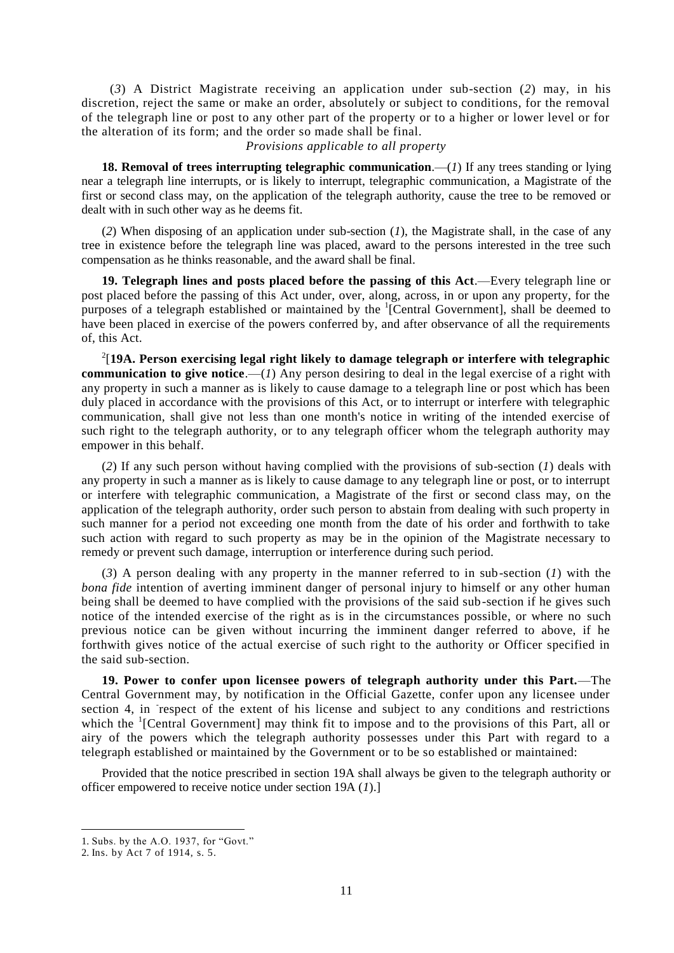(*3*) A District Magistrate receiving an application under sub-section (*2*) may, in his discretion, reject the same or make an order, absolutely or subject to conditions, for the removal of the telegraph line or post to any other part of the property or to a higher or lower level or for the alteration of its form; and the order so made shall be final.

*Provisions applicable to all property*

18. Removal of trees interrupting telegraphic communication.—(*1*) If any trees standing or lying near a telegraph line interrupts, or is likely to interrupt, telegraphic communication, a Magistrate of the first or second class may, on the application of the telegraph authority, cause the tree to be removed or dealt with in such other way as he deems fit.

(*2*) When disposing of an application under sub-section (*1*), the Magistrate shall, in the case of any tree in existence before the telegraph line was placed, award to the persons interested in the tree such compensation as he thinks reasonable, and the award shall be final.

**19. Telegraph lines and posts placed before the passing of this Act**.—Every telegraph line or post placed before the passing of this Act under, over, along, across, in or upon any property, for the purposes of a telegraph established or maintained by the <sup>1</sup>[Central Government], shall be deemed to have been placed in exercise of the powers conferred by, and after observance of all the requirements of, this Act.

2 [**19A. Person exercising legal right likely to damage telegraph or interfere with telegraphic communication to give notice**.—(*1*) Any person desiring to deal in the legal exercise of a right with any property in such a manner as is likely to cause damage to a telegraph line or post which has been duly placed in accordance with the provisions of this Act, or to interrupt or interfere with telegraphic communication, shall give not less than one month's notice in writing of the intended exercise of such right to the telegraph authority, or to any telegraph officer whom the telegraph authority may empower in this behalf.

(*2*) If any such person without having complied with the provisions of sub-section (*1*) deals with any property in such a manner as is likely to cause damage to any telegraph line or post, or to interrupt or interfere with telegraphic communication, a Magistrate of the first or second class may, on the application of the telegraph authority, order such person to abstain from dealing with such property in such manner for a period not exceeding one month from the date of his order and forthwith to take such action with regard to such property as may be in the opinion of the Magistrate necessary to remedy or prevent such damage, interruption or interference during such period.

(*3*) A person dealing with any property in the manner referred to in sub-section (*1*) with the *bona fide* intention of averting imminent danger of personal injury to himself or any other human being shall be deemed to have complied with the provisions of the said sub-section if he gives such notice of the intended exercise of the right as is in the circumstances possible, or where no such previous notice can be given without incurring the imminent danger referred to above, if he forthwith gives notice of the actual exercise of such right to the authority or Officer specified in the said sub-section.

**19. Power to confer upon licensee powers of telegraph authority under this Part.**—The Central Government may, by notification in the Official Gazette, confer upon any licensee under section 4, in respect of the extent of his license and subject to any conditions and restrictions which the <sup>1</sup>[Central Government] may think fit to impose and to the provisions of this Part, all or airy of the powers which the telegraph authority possesses under this Part with regard to a telegraph established or maintained by the Government or to be so established or maintained:

Provided that the notice prescribed in section 19A shall always be given to the telegraph authority or officer empowered to receive notice under section 19A (*1*).]

<sup>1.</sup> Subs. by the A.O. 1937, for "Govt."

<sup>2.</sup> Ins. by Act 7 of 1914, s. 5.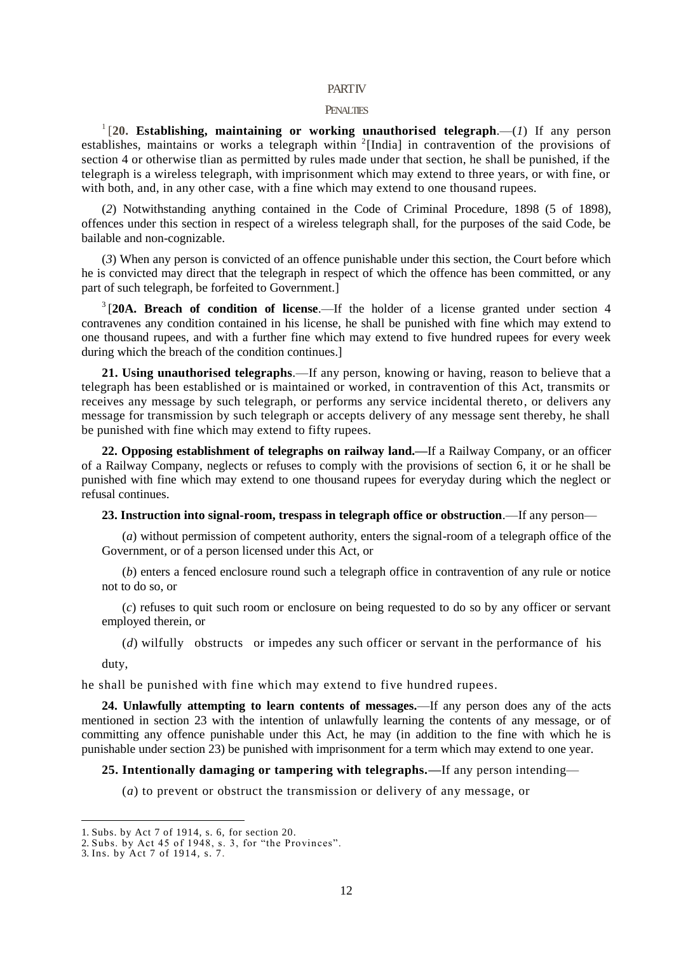#### **PARTIV**

### PENALTIES

<sup>1</sup>[20. Establishing, maintaining or working unauthorised telegraph.— $(I)$  If any person establishes, maintains or works a telegraph within  $2$ [India] in contravention of the provisions of section 4 or otherwise tlian as permitted by rules made under that section, he shall be punished, if the telegraph is a wireless telegraph, with imprisonment which may extend to three years, or with fine, or with both, and, in any other case, with a fine which may extend to one thousand rupees.

(*2*) Notwithstanding anything contained in the Code of Criminal Procedure, 1898 (5 of 1898), offences under this section in respect of a wireless telegraph shall, for the purposes of the said Code, be bailable and non-cognizable.

(*3*) When any person is convicted of an offence punishable under this section, the Court before which he is convicted may direct that the telegraph in respect of which the offence has been committed, or any part of such telegraph, be forfeited to Government.]

3 [**20A. Breach of condition of license**.—If the holder of a license granted under section 4 contravenes any condition contained in his license, he shall be punished with fine which may extend to one thousand rupees, and with a further fine which may extend to five hundred rupees for every week during which the breach of the condition continues.]

**21. Using unauthorised telegraphs**.—If any person, knowing or having, reason to believe that a telegraph has been established or is maintained or worked, in contravention of this Act, transmits or receives any message by such telegraph, or performs any service incidental thereto, or delivers any message for transmission by such telegraph or accepts delivery of any message sent thereby, he shall be punished with fine which may extend to fifty rupees.

**22. Opposing establishment of telegraphs on railway land.—**If a Railway Company, or an officer of a Railway Company, neglects or refuses to comply with the provisions of section 6, it or he shall be punished with fine which may extend to one thousand rupees for everyday during which the neglect or refusal continues.

**23. Instruction into signal-room, trespass in telegraph office or obstruction**.—If any person—

(*a*) without permission of competent authority, enters the signal-room of a telegraph office of the Government, or of a person licensed under this Act, or

(*b*) enters a fenced enclosure round such a telegraph office in contravention of any rule or notice not to do so, or

(*c*) refuses to quit such room or enclosure on being requested to do so by any officer or servant employed therein, or

(*d*) wilfully obstructs or impedes any such officer or servant in the performance of his

duty,

-

he shall be punished with fine which may extend to five hundred rupees.

**24. Unlawfully attempting to learn contents of messages.**—If any person does any of the acts mentioned in section 23 with the intention of unlawfully learning the contents of any message, or of committing any offence punishable under this Act, he may (in addition to the fine with which he is punishable under section 23) be punished with imprisonment for a term which may extend to one year.

**25. Intentionally damaging or tampering with telegraphs.—**If any person intending—

(*a*) to prevent or obstruct the transmission or delivery of any message, or

<sup>1.</sup> Subs. by Act 7 of 1914, s. 6, for section 20.

<sup>2.</sup> Subs. by Act 45 of 1948, s. 3, for "the Provinces".

<sup>3.</sup> Ins. by Act 7 of 1914, s. 7.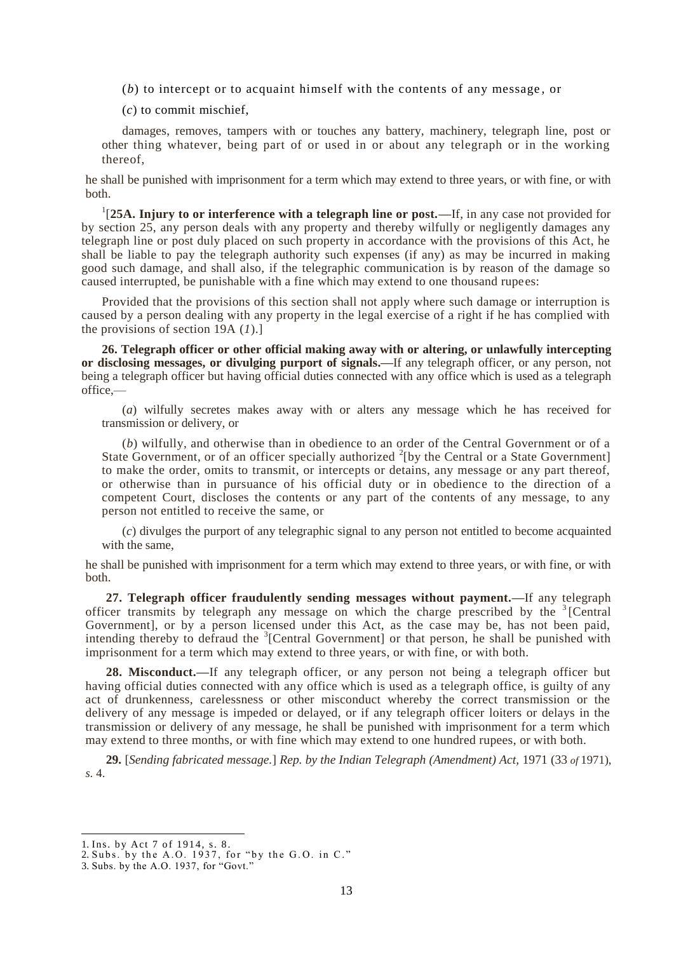(*b*) to intercept or to acquaint himself with the contents of any message , or

(*c*) to commit mischief,

damages, removes, tampers with or touches any battery, machinery, telegraph line, post or other thing whatever, being part of or used in or about any telegraph or in the working thereof,

he shall be punished with imprisonment for a term which may extend to three years, or with fine, or with both.

<sup>1</sup>[25A. Injury to or interference with a telegraph line or post.—If, in any case not provided for by section 25, any person deals with any property and thereby wilfully or negligently damages any telegraph line or post duly placed on such property in accordance with the provisions of this Act, he shall be liable to pay the telegraph authority such expenses (if any) as may be incurred in making good such damage, and shall also, if the telegraphic communication is by reason of the damage so caused interrupted, be punishable with a fine which may extend to one thousand rupees:

Provided that the provisions of this section shall not apply where such damage or interruption is caused by a person dealing with any property in the legal exercise of a right if he has complied with the provisions of section 19A (*1*).]

**26. Telegraph officer or other official making away with or altering, or unlawfully intercepting or disclosing messages, or divulging purport of signals.—**If any telegraph officer, or any person, not being a telegraph officer but having official duties connected with any office which is used as a telegraph office,—

(*a*) wilfully secretes makes away with or alters any message which he has received for transmission or delivery, or

(*b*) wilfully, and otherwise than in obedience to an order of the Central Government or of a State Government, or of an officer specially authorized  $2$ [by the Central or a State Government] to make the order, omits to transmit, or intercepts or detains, any message or any part thereof, or otherwise than in pursuance of his official duty or in obedience to the direction of a competent Court, discloses the contents or any part of the contents of any message, to any person not entitled to receive the same, or

(*c*) divulges the purport of any telegraphic signal to any person not entitled to become acquainted with the same,

he shall be punished with imprisonment for a term which may extend to three years, or with fine, or with both.

**27. Telegraph officer fraudulently sending messages without payment.—**If any telegraph officer transmits by telegraph any message on which the charge prescribed by the  $3$ <sup>[Central]</sup> Government], or by a person licensed under this Act, as the case may be, has not been paid, intending thereby to defraud the  $3$ <sup>[</sup>Central Government] or that person, he shall be punished with imprisonment for a term which may extend to three years, or with fine, or with both.

**28. Misconduct.—**If any telegraph officer, or any person not being a telegraph officer but having official duties connected with any office which is used as a telegraph office, is guilty of any act of drunkenness, carelessness or other misconduct whereby the correct transmission or the delivery of any message is impeded or delayed, or if any telegraph officer loiters or delays in the transmission or delivery of any message, he shall be punished with imprisonment for a term which may extend to three months, or with fine which may extend to one hundred rupees, or with both.

**29.** [*Sending fabricated message.*] *Rep. by the Indian Telegraph (Amendment) Act,* 1971 (33 *of* 1971), *s.* 4.

<sup>1.</sup> Ins. by Act 7 of 1914, s. 8.

<sup>2.</sup> Subs. by the A.O. 1937, for "by the G.O. in C."

<sup>3.</sup> Subs. by the A.O. 1937, for "Govt."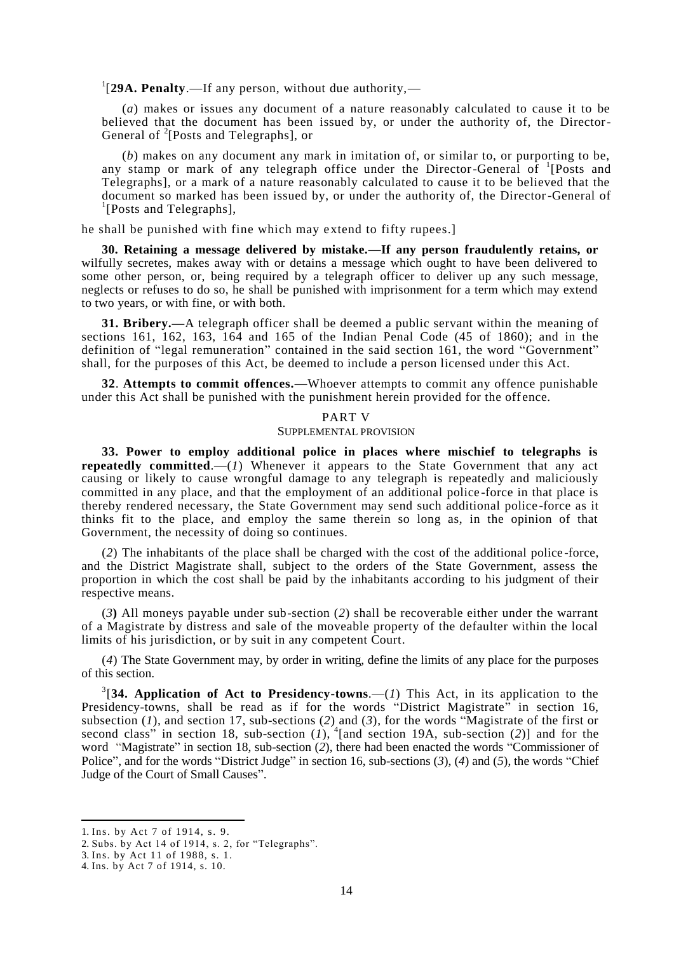<sup>1</sup>[29A. Penalty.—If any person, without due authority,—

(*a*) makes or issues any document of a nature reasonably calculated to cause it to be believed that the document has been issued by, or under the authority of, the Director-General of <sup>2</sup>[Posts and Telegraphs], or

(*b*) makes on any document any mark in imitation of, or similar to, or purporting to be, any stamp or mark of any telegraph office under the Director-General of <sup>1</sup>[Posts and Telegraphs], or a mark of a nature reasonably calculated to cause it to be believed that the document so marked has been issued by, or under the authority of, the Director-General of <sup>1</sup>[Posts and Telegraphs],

he shall be punished with fine which may extend to fifty rupees.]

**30. Retaining a message delivered by mistake.—If any person fraudulently retains, or**  wilfully secretes, makes away with or detains a message which ought to have been delivered to some other person, or, being required by a telegraph officer to deliver up any such message, neglects or refuses to do so, he shall be punished with imprisonment for a term which may extend to two years, or with fine, or with both.

**31. Bribery.—**A telegraph officer shall be deemed a public servant within the meaning of sections 161, 162, 163, 164 and 165 of the Indian Penal Code (45 of 1860); and in the definition of "legal remuneration" contained in the said section 161, the word "Government" shall, for the purposes of this Act, be deemed to include a person licensed under this Act.

**32**. **Attempts to commit offences.—**Whoever attempts to commit any offence punishable under this Act shall be punished with the punishment herein provided for the offence.

#### PART V

#### SUPPLEMENTAL PROVISION

**33. Power to employ additional police in places where mischief to telegraphs is repeatedly committed.**—(*1*) Whenever it appears to the State Government that any act causing or likely to cause wrongful damage to any telegraph is repeatedly and maliciously committed in any place, and that the employment of an additional police -force in that place is thereby rendered necessary, the State Government may send such additional police -force as it thinks fit to the place, and employ the same therein so long as, in the opinion of that Government, the necessity of doing so continues.

(*2*) The inhabitants of the place shall be charged with the cost of the additional police -force, and the District Magistrate shall, subject to the orders of the State Government, assess the proportion in which the cost shall be paid by the inhabitants according to his judgment of their respective means.

(*3***)** All moneys payable under sub-section (*2*) shall be recoverable either under the warrant of a Magistrate by distress and sale of the moveable property of the defaulter within the local limits of his jurisdiction, or by suit in any competent Court.

(*4*) The State Government may, by order in writing, define the limits of any place for the purposes of this section.

<sup>3</sup>[34. Application of Act to Presidency-towns.—(*1*) This Act, in its application to the Presidency-towns, shall be read as if for the words "District Magistrate" in section 16, subsection (*1*), and section 17, sub-sections (*2*) and (*3*), for the words "Magistrate of the first or second class" in section 18, sub-section  $(1)$ ,  $(1)$  and section 19A, sub-section  $(2)$ ] and for the word "Magistrate" in section 18, sub-section (*2*), there had been enacted the words "Commissioner of Police", and for the words "District Judge" in section 16, sub-sections (*3*), (*4*) and (*5*), the words "Chief Judge of the Court of Small Causes".

<sup>1.</sup> Ins. by Act 7 of 1914, s. 9.

<sup>2.</sup> Subs. by Act 14 of 1914, s. 2, for "Telegraphs".

<sup>3.</sup> Ins. by Act 11 of 1988, s. 1.

<sup>4.</sup> Ins. by Act 7 of 1914, s. 10.